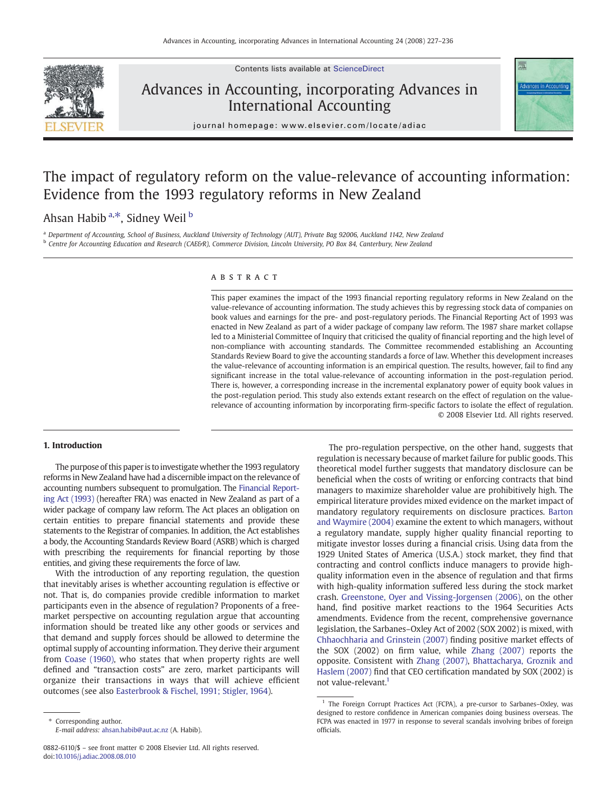

Contents lists available at [ScienceDirect](http://www.sciencedirect.com/science/journal/08826110)

## Advances in Accounting, incorporating Advances in International Accounting



journal homepage: www.elsevier.com/locate/adiac

# The impact of regulatory reform on the value-relevance of accounting information: Evidence from the 1993 regulatory reforms in New Zealand

### Ahsan Habib <sup>a,\*</sup>, Sidney Weil <sup>b</sup>

<sup>a</sup> Department of Accounting, School of Business, Auckland University of Technology (AUT), Private Bag 92006, Auckland 1142, New Zealand <sup>b</sup> Centre for Accounting Education and Research (CAE&R), Commerce Division, Lincoln University, PO Box 84, Canterbury, New Zealand

#### ABSTRACT

This paper examines the impact of the 1993 financial reporting regulatory reforms in New Zealand on the value-relevance of accounting information. The study achieves this by regressing stock data of companies on book values and earnings for the pre- and post-regulatory periods. The Financial Reporting Act of 1993 was enacted in New Zealand as part of a wider package of company law reform. The 1987 share market collapse led to a Ministerial Committee of Inquiry that criticised the quality of financial reporting and the high level of non-compliance with accounting standards. The Committee recommended establishing an Accounting Standards Review Board to give the accounting standards a force of law. Whether this development increases the value-relevance of accounting information is an empirical question. The results, however, fail to find any significant increase in the total value-relevance of accounting information in the post-regulation period. There is, however, a corresponding increase in the incremental explanatory power of equity book values in the post-regulation period. This study also extends extant research on the effect of regulation on the valuerelevance of accounting information by incorporating firm-specific factors to isolate the effect of regulation. © 2008 Elsevier Ltd. All rights reserved.

#### 1. Introduction

The purpose of this paper is to investigate whether the 1993 regulatory reforms in New Zealand have had a discernible impact on the relevance of accounting numbers subsequent to promulgation. The [Financial Report](#page--1-0)[ing Act \(1993\)](#page--1-0) (hereafter FRA) was enacted in New Zealand as part of a wider package of company law reform. The Act places an obligation on certain entities to prepare financial statements and provide these statements to the Registrar of companies. In addition, the Act establishes a body, the Accounting Standards Review Board (ASRB) which is charged with prescribing the requirements for financial reporting by those entities, and giving these requirements the force of law.

With the introduction of any reporting regulation, the question that inevitably arises is whether accounting regulation is effective or not. That is, do companies provide credible information to market participants even in the absence of regulation? Proponents of a freemarket perspective on accounting regulation argue that accounting information should be treated like any other goods or services and that demand and supply forces should be allowed to determine the optimal supply of accounting information. They derive their argument from [Coase \(1960\),](#page--1-0) who states that when property rights are well defined and "transaction costs" are zero, market participants will organize their transactions in ways that will achieve efficient outcomes (see also [Easterbrook & Fischel, 1991; Stigler, 1964](#page--1-0)).

The pro-regulation perspective, on the other hand, suggests that regulation is necessary because of market failure for public goods. This theoretical model further suggests that mandatory disclosure can be beneficial when the costs of writing or enforcing contracts that bind managers to maximize shareholder value are prohibitively high. The empirical literature provides mixed evidence on the market impact of mandatory regulatory requirements on disclosure practices. [Barton](#page--1-0) [and Waymire \(2004\)](#page--1-0) examine the extent to which managers, without a regulatory mandate, supply higher quality financial reporting to mitigate investor losses during a financial crisis. Using data from the 1929 United States of America (U.S.A.) stock market, they find that contracting and control conflicts induce managers to provide highquality information even in the absence of regulation and that firms with high-quality information suffered less during the stock market crash. [Greenstone, Oyer and Vissing-Jorgensen \(2006\),](#page--1-0) on the other hand, find positive market reactions to the 1964 Securities Acts amendments. Evidence from the recent, comprehensive governance legislation, the Sarbanes–Oxley Act of 2002 (SOX 2002) is mixed, with [Chhaochharia and Grinstein \(2007\)](#page--1-0) finding positive market effects of the SOX (2002) on firm value, while [Zhang \(2007\)](#page--1-0) reports the opposite. Consistent with [Zhang \(2007\)](#page--1-0), [Bhattacharya, Groznik and](#page--1-0) [Haslem \(2007\)](#page--1-0) find that CEO certification mandated by SOX (2002) is not value-relevant.<sup>1</sup>

Corresponding author. E-mail address: [ahsan.habib@aut.ac.nz](mailto:ahsan.habib@aut.ac.nz) (A. Habib).

<sup>0882-6110/\$</sup> – see front matter © 2008 Elsevier Ltd. All rights reserved. doi:[10.1016/j.adiac.2008.08.010](http://dx.doi.org/10.1016/j.adiac.2008.08.010)

<sup>&</sup>lt;sup>1</sup> The Foreign Corrupt Practices Act (FCPA), a pre-cursor to Sarbanes–Oxley, was designed to restore confidence in American companies doing business overseas. The FCPA was enacted in 1977 in response to several scandals involving bribes of foreign officials.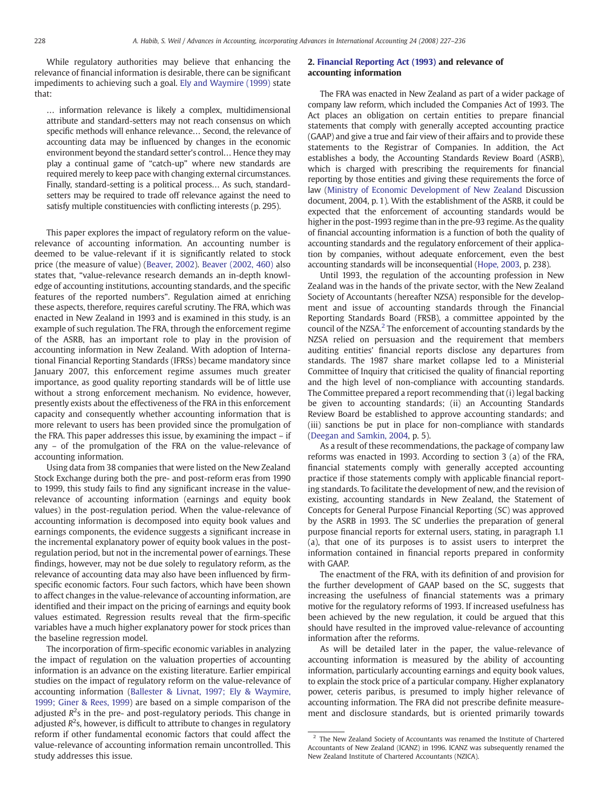While regulatory authorities may believe that enhancing the relevance of financial information is desirable, there can be significant impediments to achieving such a goal. [Ely and Waymire \(1999\)](#page--1-0) state that:

… information relevance is likely a complex, multidimensional attribute and standard-setters may not reach consensus on which specific methods will enhance relevance… Second, the relevance of accounting data may be influenced by changes in the economic environment beyond the standard setter's control… Hence they may play a continual game of "catch-up" where new standards are required merely to keep pace with changing external circumstances. Finally, standard-setting is a political process… As such, standardsetters may be required to trade off relevance against the need to satisfy multiple constituencies with conflicting interests (p. 295).

This paper explores the impact of regulatory reform on the valuerelevance of accounting information. An accounting number is deemed to be value-relevant if it is significantly related to stock price (the measure of value) ([Beaver, 2002\)](#page--1-0). [Beaver \(2002, 460\)](#page--1-0) also states that, "value-relevance research demands an in-depth knowledge of accounting institutions, accounting standards, and the specific features of the reported numbers". Regulation aimed at enriching these aspects, therefore, requires careful scrutiny. The FRA, which was enacted in New Zealand in 1993 and is examined in this study, is an example of such regulation. The FRA, through the enforcement regime of the ASRB, has an important role to play in the provision of accounting information in New Zealand. With adoption of International Financial Reporting Standards (IFRSs) became mandatory since January 2007, this enforcement regime assumes much greater importance, as good quality reporting standards will be of little use without a strong enforcement mechanism. No evidence, however, presently exists about the effectiveness of the FRA in this enforcement capacity and consequently whether accounting information that is more relevant to users has been provided since the promulgation of the FRA. This paper addresses this issue, by examining the impact – if any – of the promulgation of the FRA on the value-relevance of accounting information.

Using data from 38 companies that were listed on the New Zealand Stock Exchange during both the pre- and post-reform eras from 1990 to 1999, this study fails to find any significant increase in the valuerelevance of accounting information (earnings and equity book values) in the post-regulation period. When the value-relevance of accounting information is decomposed into equity book values and earnings components, the evidence suggests a significant increase in the incremental explanatory power of equity book values in the postregulation period, but not in the incremental power of earnings. These findings, however, may not be due solely to regulatory reform, as the relevance of accounting data may also have been influenced by firmspecific economic factors. Four such factors, which have been shown to affect changes in the value-relevance of accounting information, are identified and their impact on the pricing of earnings and equity book values estimated. Regression results reveal that the firm-specific variables have a much higher explanatory power for stock prices than the baseline regression model.

The incorporation of firm-specific economic variables in analyzing the impact of regulation on the valuation properties of accounting information is an advance on the existing literature. Earlier empirical studies on the impact of regulatory reform on the value-relevance of accounting information [\(Ballester & Livnat, 1997; Ely & Waymire,](#page--1-0) [1999; Giner & Rees, 1999\)](#page--1-0) are based on a simple comparison of the adjusted  $R^2$ s in the pre- and post-regulatory periods. This change in adjusted  $R^2$ s, however, is difficult to attribute to changes in regulatory reform if other fundamental economic factors that could affect the value-relevance of accounting information remain uncontrolled. This study addresses this issue.

#### 2. [Financial Reporting Act \(1993\)](#page--1-0) and relevance of accounting information

The FRA was enacted in New Zealand as part of a wider package of company law reform, which included the Companies Act of 1993. The Act places an obligation on certain entities to prepare financial statements that comply with generally accepted accounting practice (GAAP) and give a true and fair view of their affairs and to provide these statements to the Registrar of Companies. In addition, the Act establishes a body, the Accounting Standards Review Board (ASRB), which is charged with prescribing the requirements for financial reporting by those entities and giving these requirements the force of law ([Ministry of Economic Development of New Zealand](#page--1-0) Discussion document, 2004, p. 1). With the establishment of the ASRB, it could be expected that the enforcement of accounting standards would be higher in the post-1993 regime than in the pre-93 regime. As the quality of financial accounting information is a function of both the quality of accounting standards and the regulatory enforcement of their application by companies, without adequate enforcement, even the best accounting standards will be inconsequential [\(Hope, 2003](#page--1-0), p. 238).

Until 1993, the regulation of the accounting profession in New Zealand was in the hands of the private sector, with the New Zealand Society of Accountants (hereafter NZSA) responsible for the development and issue of accounting standards through the Financial Reporting Standards Board (FRSB), a committee appointed by the council of the NZSA.<sup>2</sup> The enforcement of accounting standards by the NZSA relied on persuasion and the requirement that members auditing entities' financial reports disclose any departures from standards. The 1987 share market collapse led to a Ministerial Committee of Inquiry that criticised the quality of financial reporting and the high level of non-compliance with accounting standards. The Committee prepared a report recommending that (i) legal backing be given to accounting standards; (ii) an Accounting Standards Review Board be established to approve accounting standards; and (iii) sanctions be put in place for non-compliance with standards ([Deegan and Samkin, 2004,](#page--1-0) p. 5).

As a result of these recommendations, the package of company law reforms was enacted in 1993. According to section 3 (a) of the FRA, financial statements comply with generally accepted accounting practice if those statements comply with applicable financial reporting standards. To facilitate the development of new, and the revision of existing, accounting standards in New Zealand, the Statement of Concepts for General Purpose Financial Reporting (SC) was approved by the ASRB in 1993. The SC underlies the preparation of general purpose financial reports for external users, stating, in paragraph 1.1 (a), that one of its purposes is to assist users to interpret the information contained in financial reports prepared in conformity with GAAP.

The enactment of the FRA, with its definition of and provision for the further development of GAAP based on the SC, suggests that increasing the usefulness of financial statements was a primary motive for the regulatory reforms of 1993. If increased usefulness has been achieved by the new regulation, it could be argued that this should have resulted in the improved value-relevance of accounting information after the reforms.

As will be detailed later in the paper, the value-relevance of accounting information is measured by the ability of accounting information, particularly accounting earnings and equity book values, to explain the stock price of a particular company. Higher explanatory power, ceteris paribus, is presumed to imply higher relevance of accounting information. The FRA did not prescribe definite measurement and disclosure standards, but is oriented primarily towards

<sup>&</sup>lt;sup>2</sup> The New Zealand Society of Accountants was renamed the Institute of Chartered Accountants of New Zealand (ICANZ) in 1996. ICANZ was subsequently renamed the New Zealand Institute of Chartered Accountants (NZICA).